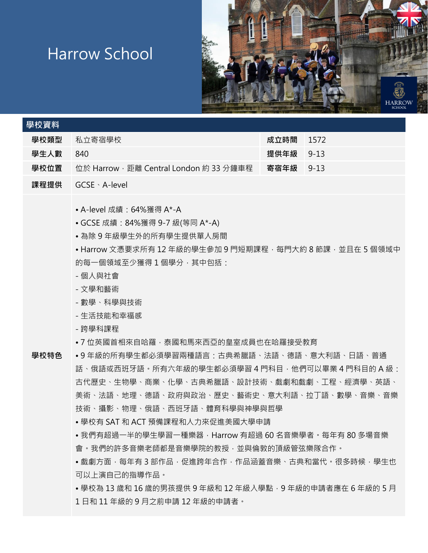## Harrow School



| 學校資料 |                                             |           |        |
|------|---------------------------------------------|-----------|--------|
| 學校類型 | - 私立寄宿學校 -                                  | 成立時間      | 1572   |
| 學生人數 | 840                                         | 提供年級 9-13 |        |
| 學校位置 | - 位於 Harrow · 距離 Central London 約 33 分鐘車程 - | 寄宿年級      | $9-13$ |
|      |                                             |           |        |

**課程提供** GCSE、A-level

• A-level 成績:64%獲得 A\*-A

- GCSE 成績:84%獲得 9-7 級(等同 A\*-A)
- 為除 9 年級學生外的所有學生提供單人房間

• Harrow 文憑要求所有 12 年級的學生參加 9 門短期課程 · 每門大約 8 節課 · 並且在 5 個領域中 的每一個領域至少獲得1個學分,其中包括:

- 個人與社會
- 文學和藝術
- 數學、科學與技術
- 生活技能和幸福感
- 跨學科課程
- 7 位英國首相來自哈羅,泰國和馬來西亞的皇室成員也在哈羅接受教育

**學校特色**

• 9 年級的所有學生都必須學習兩種語言:古典希臘語、法語、德語、意大利語、日語、普通 話、俄語或西班牙語。所有六年級的學生都必須學習 4 門科目,他們可以畢業 4 門科目的 A 級: 古代歷史、生物學、商業、化學、古典希臘語、設計技術、戲劇和戲劇、工程、經濟學、英語、 美術、法語、地理、德語、政府與政治、歷史、藝術史、意大利語、拉丁語、數學、音樂、音樂 技術、攝影、物理、俄語、西班牙語、體育科學與神學與哲學

- 學校有 SAT 和 ACT 預備課程和人力來促進美國大學申請
- 我們有超過一半的學生學習一種樂器, Harrow 有超過 60 名音樂學者。每年有 80 多場音樂 會。我們的許多音樂老師都是音樂學院的教授,並與倫敦的頂級管弦樂隊合作。

• 戲劇方面﹐每年有 3 部作品﹐促進跨年合作﹐作品涵蓋音樂﹑古典和當代﹐很多時候﹐學生也 可以上演自己的指導作品。

• 學校為 13 歲和 16 歲的男孩提供 9 年級和 12 年級入學點 · 9 年級的申請者應在 6 年級的 5 月 1 日和 11 年級的 9 月之前申請 12 年級的申請者。